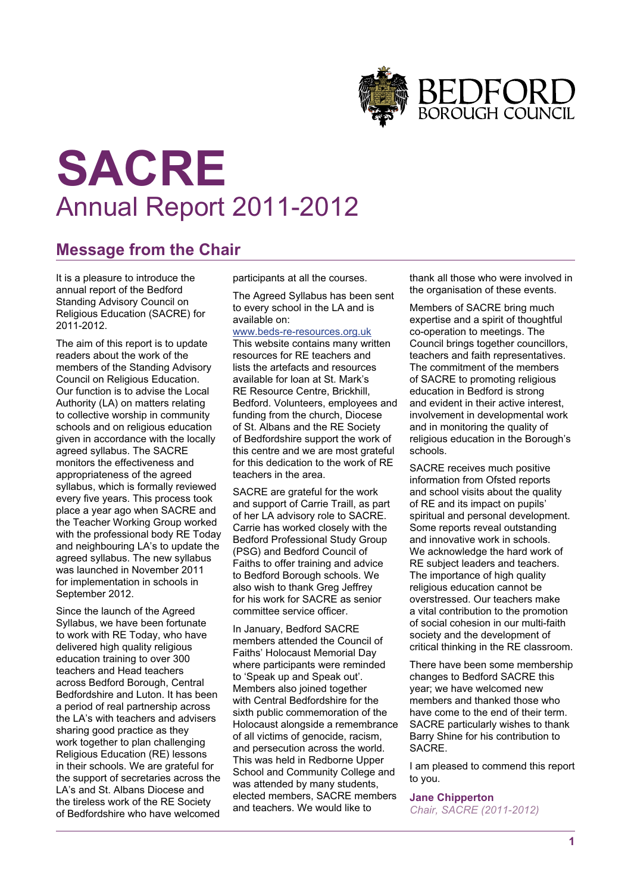

# **SACRE** Annual Report 2011-2012

## **Message from the Chair**

It is a pleasure to introduce the annual report of the Bedford Standing Advisory Council on Religious Education (SACRE) for 2011-2012.

The aim of this report is to update readers about the work of the members of the Standing Advisory Council on Religious Education. Our function is to advise the Local Authority (LA) on matters relating to collective worship in community schools and on religious education given in accordance with the locally agreed syllabus. The SACRE monitors the effectiveness and appropriateness of the agreed syllabus, which is formally reviewed every five years. This process took place a year ago when SACRE and the Teacher Working Group worked with the professional body RE Today and neighbouring LA's to update the agreed syllabus. The new syllabus was launched in November 2011 for implementation in schools in September 2012.

Since the launch of the Agreed Syllabus, we have been fortunate to work with RE Today, who have delivered high quality religious education training to over 300 teachers and Head teachers across Bedford Borough, Central Bedfordshire and Luton. It has been a period of real partnership across the LA's with teachers and advisers sharing good practice as they work together to plan challenging Religious Education (RE) lessons in their schools. We are grateful for the support of secretaries across the LA's and St. Albans Diocese and the tireless work of the RE Society of Bedfordshire who have welcomed

participants at all the courses.

The Agreed Syllabus has been sent to every school in the LA and is available on:

www.beds-re-resources.org.uk This website contains many written resources for RE teachers and lists the artefacts and resources available for loan at St. Mark's RE Resource Centre, Brickhill, Bedford. Volunteers, employees and funding from the church, Diocese of St. Albans and the RE Society of Bedfordshire support the work of this centre and we are most grateful for this dedication to the work of RE teachers in the area.

SACRE are grateful for the work and support of Carrie Traill, as part of her LA advisory role to SACRE. Carrie has worked closely with the Bedford Professional Study Group (PSG) and Bedford Council of Faiths to offer training and advice to Bedford Borough schools. We also wish to thank Greg Jeffrey for his work for SACRE as senior committee service officer.

In January, Bedford SACRE members attended the Council of Faiths' Holocaust Memorial Day where participants were reminded to 'Speak up and Speak out'. Members also joined together with Central Bedfordshire for the sixth public commemoration of the Holocaust alongside a remembrance of all victims of genocide, racism, and persecution across the world. This was held in Redborne Upper School and Community College and was attended by many students, elected members, SACRE members and teachers. We would like to

thank all those who were involved in the organisation of these events.

Members of SACRE bring much expertise and a spirit of thoughtful co-operation to meetings. The Council brings together councillors, teachers and faith representatives. The commitment of the members of SACRE to promoting religious education in Bedford is strong and evident in their active interest, involvement in developmental work and in monitoring the quality of religious education in the Borough's schools.

SACRE receives much positive information from Ofsted reports and school visits about the quality of RE and its impact on pupils' spiritual and personal development. Some reports reveal outstanding and innovative work in schools. We acknowledge the hard work of RE subject leaders and teachers. The importance of high quality religious education cannot be overstressed. Our teachers make a vital contribution to the promotion of social cohesion in our multi-faith society and the development of critical thinking in the RE classroom.

There have been some membership changes to Bedford SACRE this year; we have welcomed new members and thanked those who have come to the end of their term. SACRE particularly wishes to thank Barry Shine for his contribution to SACRE.

I am pleased to commend this report to you.

#### **Jane Chipperton**

*Chair, SACRE (2011-2012)*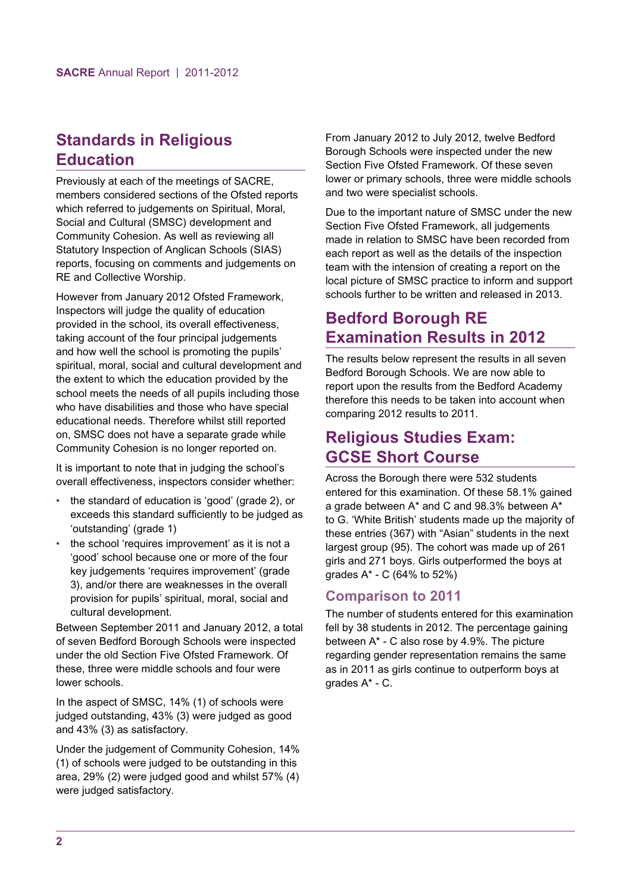# **Standards in Religious Education**

Previously at each of the meetings of SACRE, members considered sections of the Ofsted reports which referred to judgements on Spiritual, Moral, Social and Cultural (SMSC) development and Community Cohesion. As well as reviewing all Statutory Inspection of Anglican Schools (SIAS) reports, focusing on comments and judgements on RE and Collective Worship.

However from January 2012 Ofsted Framework, Inspectors will judge the quality of education provided in the school, its overall effectiveness, taking account of the four principal judgements and how well the school is promoting the pupils' spiritual, moral, social and cultural development and the extent to which the education provided by the school meets the needs of all pupils including those who have disabilities and those who have special educational needs. Therefore whilst still reported on, SMSC does not have a separate grade while Community Cohesion is no longer reported on.

It is important to note that in judging the school's overall effectiveness, inspectors consider whether:

- the standard of education is 'good' (grade 2), or exceeds this standard sufficiently to be judged as 'outstanding' (grade 1)
- the school 'requires improvement' as it is not a 'good' school because one or more of the four key judgements 'requires improvement' (grade 3), and/or there are weaknesses in the overall provision for pupils' spiritual, moral, social and cultural development.

Between September 2011 and January 2012, a total of seven Bedford Borough Schools were inspected under the old Section Five Ofsted Framework. Of these, three were middle schools and four were lower schools.

In the aspect of SMSC, 14% (1) of schools were judged outstanding, 43% (3) were judged as good and 43% (3) as satisfactory.

Under the judgement of Community Cohesion, 14% (1) of schools were judged to be outstanding in this area, 29% (2) were judged good and whilst 57% (4) were judged satisfactory.

From January 2012 to July 2012, twelve Bedford Borough Schools were inspected under the new Section Five Ofsted Framework. Of these seven lower or primary schools, three were middle schools and two were specialist schools.

Due to the important nature of SMSC under the new Section Five Ofsted Framework, all judgements made in relation to SMSC have been recorded from each report as well as the details of the inspection team with the intension of creating a report on the local picture of SMSC practice to inform and support schools further to be written and released in 2013.

## **Bedford Borough RE Examination Results in 2012**

The results below represent the results in all seven Bedford Borough Schools. We are now able to report upon the results from the Bedford Academy therefore this needs to be taken into account when comparing 2012 results to 2011.

#### **Religious Studies Exam: GCSE Short Course**

Across the Borough there were 532 students entered for this examination. Of these 58.1% gained a grade between A\* and C and 98.3% between A\* to G. 'White British' students made up the majority of these entries (367) with "Asian" students in the next largest group (95). The cohort was made up of 261 girls and 271 boys. Girls outperformed the boys at grades A\* - C (64% to 52%)

#### **Comparison to 2011**

The number of students entered for this examination fell by 38 students in 2012. The percentage gaining between A\* - C also rose by 4.9%. The picture regarding gender representation remains the same as in 2011 as girls continue to outperform boys at grades A\* - C.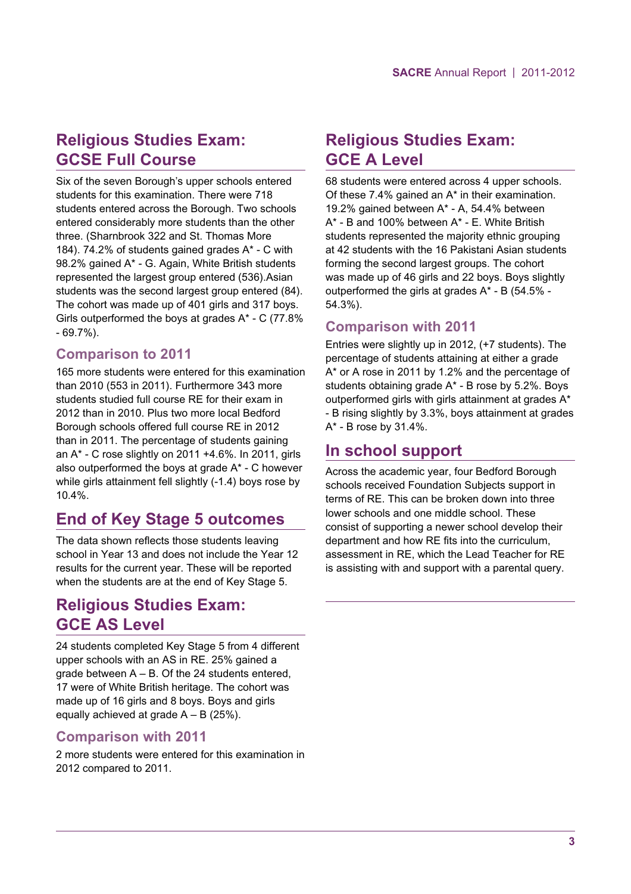# **Religious Studies Exam: GCSE Full Course**

Six of the seven Borough's upper schools entered students for this examination. There were 718 students entered across the Borough. Two schools entered considerably more students than the other three. (Sharnbrook 322 and St. Thomas More 184). 74.2% of students gained grades A\* - C with 98.2% gained A\* - G. Again, White British students represented the largest group entered (536).Asian students was the second largest group entered (84). The cohort was made up of 401 girls and 317 boys. Girls outperformed the boys at grades A\* - C (77.8% - 69.7%).

#### **Comparison to 2011**

165 more students were entered for this examination than 2010 (553 in 2011). Furthermore 343 more students studied full course RE for their exam in 2012 than in 2010. Plus two more local Bedford Borough schools offered full course RE in 2012 than in 2011. The percentage of students gaining an A\* - C rose slightly on 2011 +4.6%. In 2011, girls also outperformed the boys at grade A\* - C however while girls attainment fell slightly (-1.4) boys rose by 10.4%.

## **End of Key Stage 5 outcomes**

The data shown reflects those students leaving school in Year 13 and does not include the Year 12 results for the current year. These will be reported when the students are at the end of Key Stage 5.

# **Religious Studies Exam: GCE AS Level**

24 students completed Key Stage 5 from 4 different upper schools with an AS in RE. 25% gained a grade between A – B. Of the 24 students entered, 17 were of White British heritage. The cohort was made up of 16 girls and 8 boys. Boys and girls equally achieved at grade  $A - B$  (25%).

#### **Comparison with 2011**

2 more students were entered for this examination in 2012 compared to 2011.

## **Religious Studies Exam: GCE A Level**

68 students were entered across 4 upper schools. Of these 7.4% gained an A\* in their examination. 19.2% gained between A\* - A, 54.4% between A\* - B and 100% between A\* - E. White British students represented the majority ethnic grouping at 42 students with the 16 Pakistani Asian students forming the second largest groups. The cohort was made up of 46 girls and 22 boys. Boys slightly outperformed the girls at grades A\* - B (54.5% - 54.3%).

#### **Comparison with 2011**

Entries were slightly up in 2012, (+7 students). The percentage of students attaining at either a grade A\* or A rose in 2011 by 1.2% and the percentage of students obtaining grade A\* - B rose by 5.2%. Boys outperformed girls with girls attainment at grades A\* - B rising slightly by 3.3%, boys attainment at grades A\* - B rose by 31.4%.

#### **In school support**

Across the academic year, four Bedford Borough schools received Foundation Subjects support in terms of RE. This can be broken down into three lower schools and one middle school. These consist of supporting a newer school develop their department and how RE fits into the curriculum, assessment in RE, which the Lead Teacher for RE is assisting with and support with a parental query.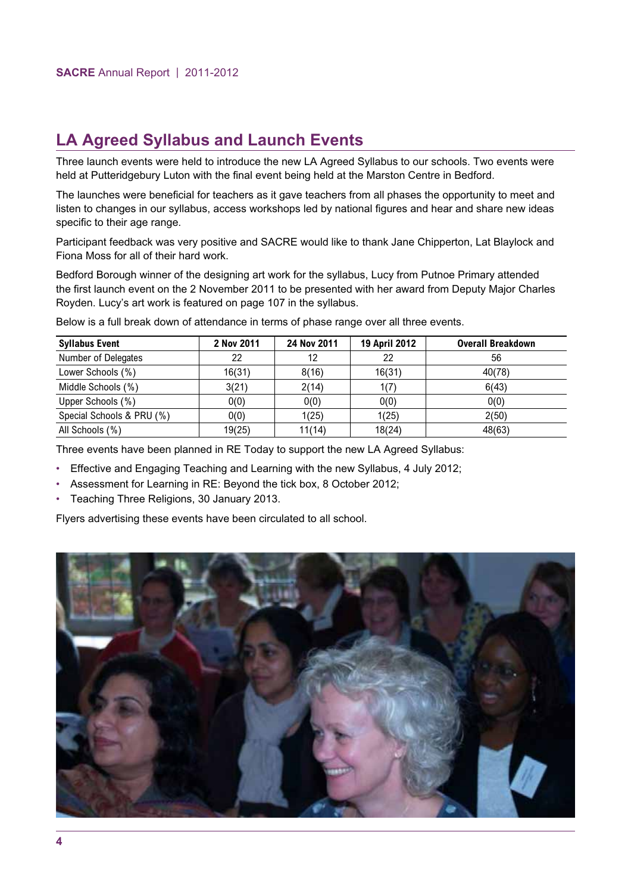## **LA Agreed Syllabus and Launch Events**

Three launch events were held to introduce the new LA Agreed Syllabus to our schools. Two events were held at Putteridgebury Luton with the final event being held at the Marston Centre in Bedford.

The launches were beneficial for teachers as it gave teachers from all phases the opportunity to meet and listen to changes in our syllabus, access workshops led by national figures and hear and share new ideas specific to their age range.

Participant feedback was very positive and SACRE would like to thank Jane Chipperton, Lat Blaylock and Fiona Moss for all of their hard work.

Bedford Borough winner of the designing art work for the syllabus, Lucy from Putnoe Primary attended the first launch event on the 2 November 2011 to be presented with her award from Deputy Major Charles Royden. Lucy's art work is featured on page 107 in the syllabus.

**Syllabus Event 2 Nov 2011 24 Nov 2011 19 April 2012 Overall Breakdown** Number of Delegates 12 22 12 12 22 22 56 Lower Schools (%) | 16(31) | 8(16) | 16(31) | 40(78) Middle Schools (%)  $(3(21)$  2(14) 1(7) 6(43) Upper Schools (%)  $0(0)$   $0(0)$   $0(0)$   $0(0)$   $0(0)$   $0(0)$   $0(0)$ Special Schools & PRU  $\binom{0}{0}$  0(0) 1(25) 1(25) 1(25) 2(50) All Schools (%)  $\vert$  19(25)  $\vert$  11(14) 18(24) 18(24) 48(63)

Below is a full break down of attendance in terms of phase range over all three events.

Three events have been planned in RE Today to support the new LA Agreed Syllabus:

Effective and Engaging Teaching and Learning with the new Syllabus, 4 July 2012;

• Assessment for Learning in RE: Beyond the tick box, 8 October 2012;

Teaching Three Religions, 30 January 2013.

Flyers advertising these events have been circulated to all school.

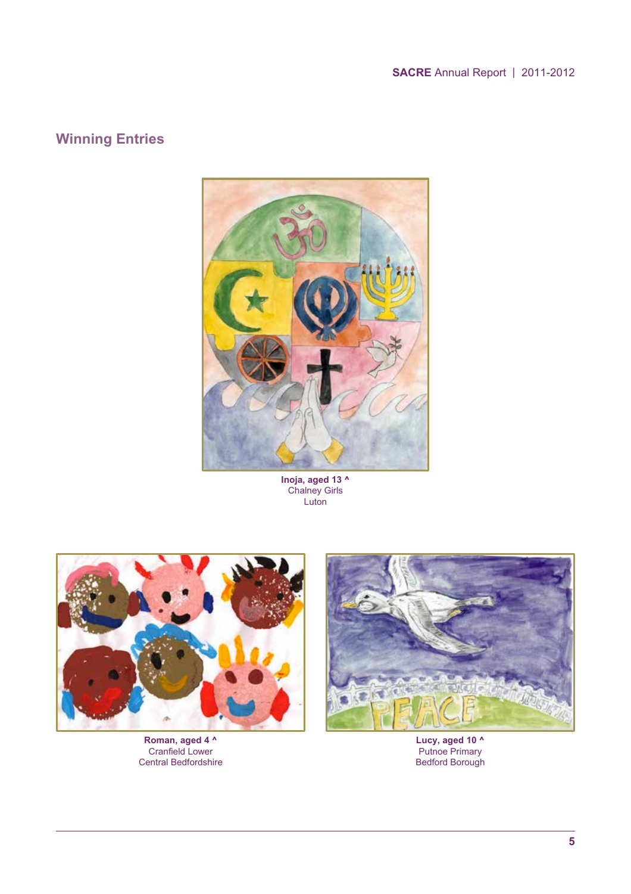#### **SACRE** Annual Report | 2011-2012

# **Winning Entries**



**Inoja, aged 13 ^** Chalney Girls Luton



**Roman, aged 4 ^** Cranfield Lower Central Bedfordshire



**Lucy, aged 10 ^** Putnoe Primary Bedford Borough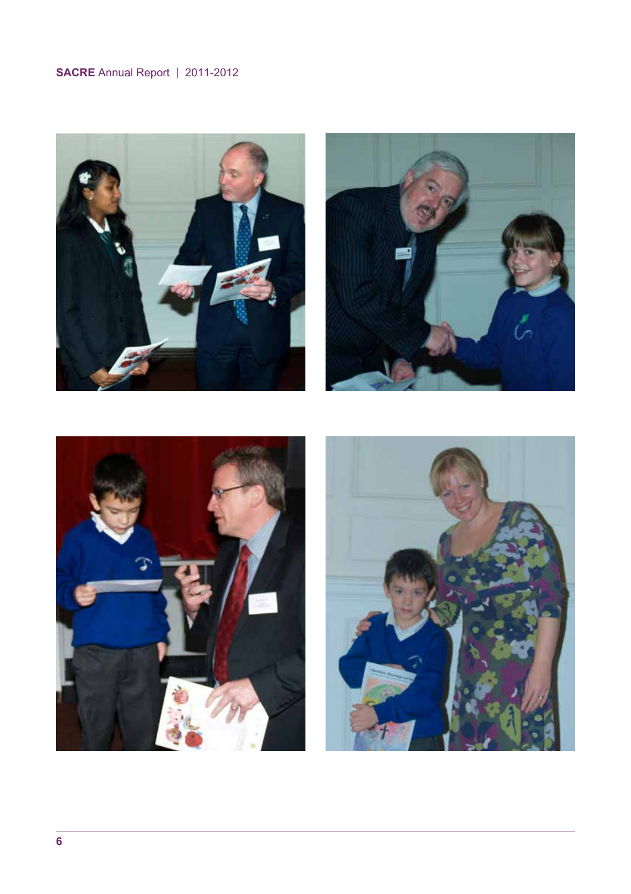#### **SACRE** Annual Report | 2011-2012







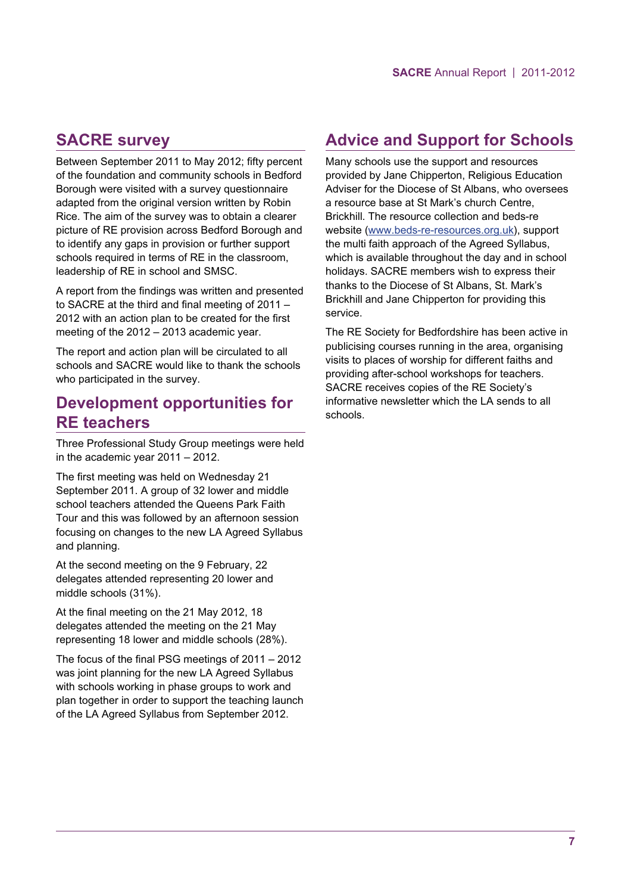#### **SACRE survey**

Between September 2011 to May 2012; fifty percent of the foundation and community schools in Bedford Borough were visited with a survey questionnaire adapted from the original version written by Robin Rice. The aim of the survey was to obtain a clearer picture of RE provision across Bedford Borough and to identify any gaps in provision or further support schools required in terms of RE in the classroom, leadership of RE in school and SMSC.

A report from the findings was written and presented to SACRE at the third and final meeting of 2011 – 2012 with an action plan to be created for the first meeting of the 2012 – 2013 academic year.

The report and action plan will be circulated to all schools and SACRE would like to thank the schools who participated in the survey.

#### **Development opportunities for RE teachers**

Three Professional Study Group meetings were held in the academic year 2011 – 2012.

The first meeting was held on Wednesday 21 September 2011. A group of 32 lower and middle school teachers attended the Queens Park Faith Tour and this was followed by an afternoon session focusing on changes to the new LA Agreed Syllabus and planning.

At the second meeting on the 9 February, 22 delegates attended representing 20 lower and middle schools (31%).

At the final meeting on the 21 May 2012, 18 delegates attended the meeting on the 21 May representing 18 lower and middle schools (28%).

The focus of the final PSG meetings of 2011 – 2012 was joint planning for the new LA Agreed Syllabus with schools working in phase groups to work and plan together in order to support the teaching launch of the LA Agreed Syllabus from September 2012.

## **Advice and Support for Schools**

Many schools use the support and resources provided by Jane Chipperton, Religious Education Adviser for the Diocese of St Albans, who oversees a resource base at St Mark's church Centre, Brickhill. The resource collection and beds-re website (www.beds-re-resources.org.uk), support the multi faith approach of the Agreed Syllabus, which is available throughout the day and in school holidays. SACRE members wish to express their thanks to the Diocese of St Albans, St. Mark's Brickhill and Jane Chipperton for providing this service.

The RE Society for Bedfordshire has been active in publicising courses running in the area, organising visits to places of worship for different faiths and providing after-school workshops for teachers. SACRE receives copies of the RE Society's informative newsletter which the LA sends to all schools.